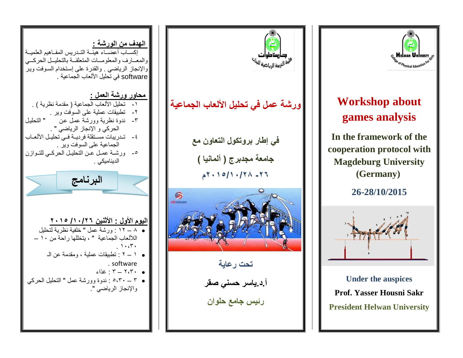